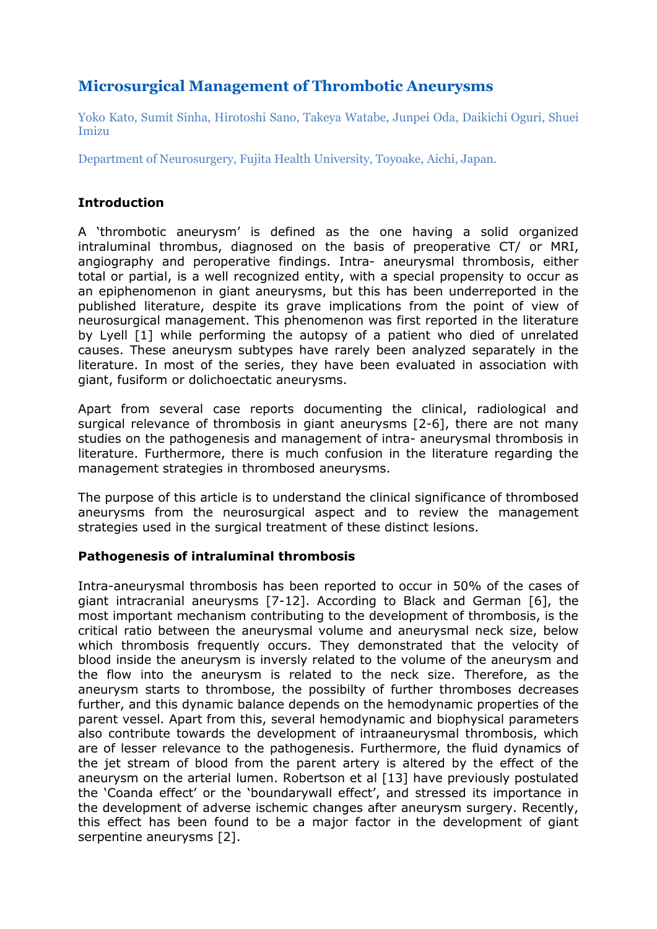# **Microsurgical Management of Thrombotic Aneurysms**

Yoko Kato, Sumit Sinha, Hirotoshi Sano, Takeya Watabe, Junpei Oda, Daikichi Oguri, Shuei Imizu

Department of Neurosurgery, Fujita Health University, Toyoake, Aichi, Japan.

## **Introduction**

A 'thrombotic aneurysm' is defined as the one having a solid organized intraluminal thrombus, diagnosed on the basis of preoperative CT/ or MRI, angiography and peroperative findings. Intra- aneurysmal thrombosis, either total or partial, is a well recognized entity, with a special propensity to occur as an epiphenomenon in giant aneurysms, but this has been underreported in the published literature, despite its grave implications from the point of view of neurosurgical management. This phenomenon was first reported in the literature by Lyell [1] while performing the autopsy of a patient who died of unrelated causes. These aneurysm subtypes have rarely been analyzed separately in the literature. In most of the series, they have been evaluated in association with giant, fusiform or dolichoectatic aneurysms.

Apart from several case reports documenting the clinical, radiological and surgical relevance of thrombosis in giant aneurysms [2-6], there are not many studies on the pathogenesis and management of intra- aneurysmal thrombosis in literature. Furthermore, there is much confusion in the literature regarding the management strategies in thrombosed aneurysms.

The purpose of this article is to understand the clinical significance of thrombosed aneurysms from the neurosurgical aspect and to review the management strategies used in the surgical treatment of these distinct lesions.

## **Pathogenesis of intraluminal thrombosis**

Intra-aneurysmal thrombosis has been reported to occur in 50% of the cases of giant intracranial aneurysms [7-12]. According to Black and German [6], the most important mechanism contributing to the development of thrombosis, is the critical ratio between the aneurysmal volume and aneurysmal neck size, below which thrombosis frequently occurs. They demonstrated that the velocity of blood inside the aneurysm is inversly related to the volume of the aneurysm and the flow into the aneurysm is related to the neck size. Therefore, as the aneurysm starts to thrombose, the possibilty of further thromboses decreases further, and this dynamic balance depends on the hemodynamic properties of the parent vessel. Apart from this, several hemodynamic and biophysical parameters also contribute towards the development of intraaneurysmal thrombosis, which are of lesser relevance to the pathogenesis. Furthermore, the fluid dynamics of the jet stream of blood from the parent artery is altered by the effect of the aneurysm on the arterial lumen. Robertson et al [13] have previously postulated the 'Coanda effect' or the 'boundarywall effect', and stressed its importance in the development of adverse ischemic changes after aneurysm surgery. Recently, this effect has been found to be a major factor in the development of giant serpentine aneurysms [2].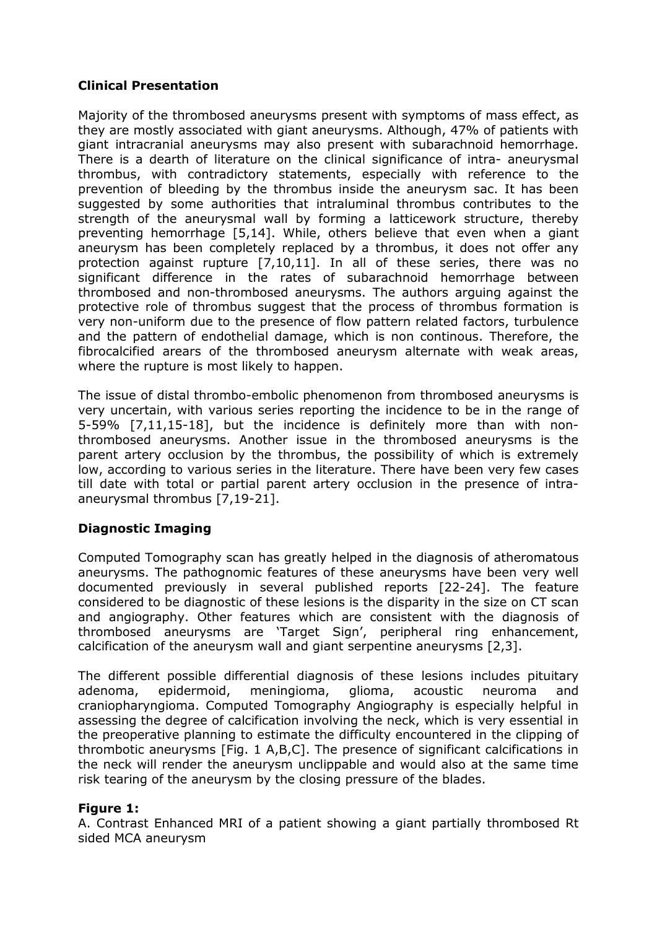#### **Clinical Presentation**

Majority of the thrombosed aneurysms present with symptoms of mass effect, as they are mostly associated with giant aneurysms. Although, 47% of patients with giant intracranial aneurysms may also present with subarachnoid hemorrhage. There is a dearth of literature on the clinical significance of intra- aneurysmal thrombus, with contradictory statements, especially with reference to the prevention of bleeding by the thrombus inside the aneurysm sac. It has been suggested by some authorities that intraluminal thrombus contributes to the strength of the aneurysmal wall by forming a latticework structure, thereby preventing hemorrhage [5,14]. While, others believe that even when a giant aneurysm has been completely replaced by a thrombus, it does not offer any protection against rupture [7,10,11]. In all of these series, there was no significant difference in the rates of subarachnoid hemorrhage between thrombosed and non-thrombosed aneurysms. The authors arguing against the protective role of thrombus suggest that the process of thrombus formation is very non-uniform due to the presence of flow pattern related factors, turbulence and the pattern of endothelial damage, which is non continous. Therefore, the fibrocalcified arears of the thrombosed aneurysm alternate with weak areas, where the rupture is most likely to happen.

The issue of distal thrombo-embolic phenomenon from thrombosed aneurysms is very uncertain, with various series reporting the incidence to be in the range of 5-59% [7,11,15-18], but the incidence is definitely more than with nonthrombosed aneurysms. Another issue in the thrombosed aneurysms is the parent artery occlusion by the thrombus, the possibility of which is extremely low, according to various series in the literature. There have been very few cases till date with total or partial parent artery occlusion in the presence of intraaneurysmal thrombus [7,19-21].

## **Diagnostic Imaging**

Computed Tomography scan has greatly helped in the diagnosis of atheromatous aneurysms. The pathognomic features of these aneurysms have been very well documented previously in several published reports [22-24]. The feature considered to be diagnostic of these lesions is the disparity in the size on CT scan and angiography. Other features which are consistent with the diagnosis of thrombosed aneurysms are 'Target Sign', peripheral ring enhancement, calcification of the aneurysm wall and giant serpentine aneurysms [2,3].

The different possible differential diagnosis of these lesions includes pituitary adenoma, epidermoid, meningioma, glioma, acoustic neuroma and craniopharyngioma. Computed Tomography Angiography is especially helpful in assessing the degree of calcification involving the neck, which is very essential in the preoperative planning to estimate the difficulty encountered in the clipping of thrombotic aneurysms [Fig. 1 A,B,C]. The presence of significant calcifications in the neck will render the aneurysm unclippable and would also at the same time risk tearing of the aneurysm by the closing pressure of the blades.

#### **Figure 1:**

A. Contrast Enhanced MRI of a patient showing a giant partially thrombosed Rt sided MCA aneurysm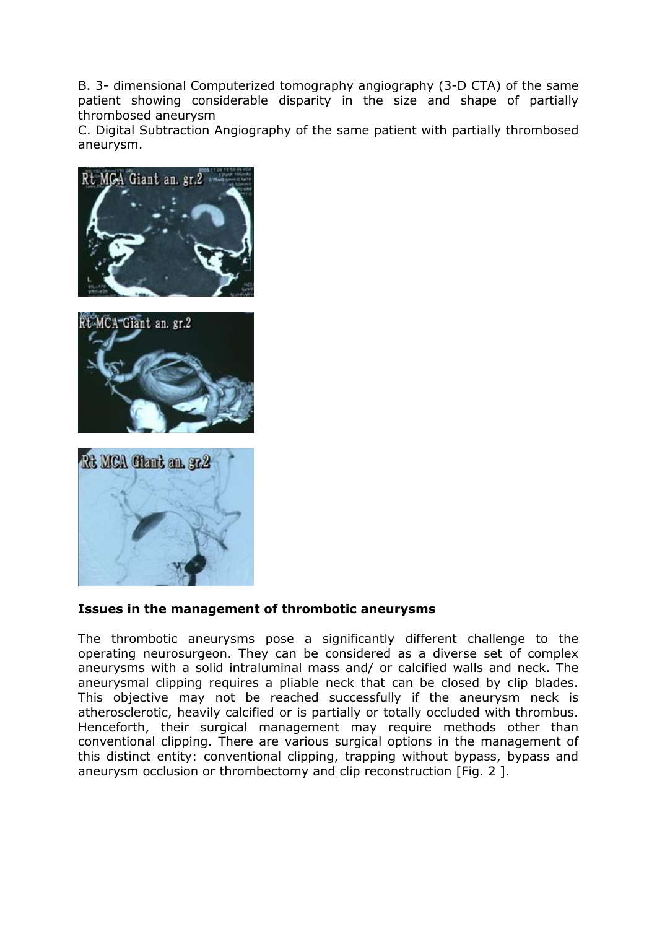B. 3- dimensional Computerized tomography angiography (3-D CTA) of the same patient showing considerable disparity in the size and shape of partially thrombosed aneurysm

C. Digital Subtraction Angiography of the same patient with partially thrombosed aneurysm.







#### **Issues in the management of thrombotic aneurysms**

The thrombotic aneurysms pose a significantly different challenge to the operating neurosurgeon. They can be considered as a diverse set of complex aneurysms with a solid intraluminal mass and/ or calcified walls and neck. The aneurysmal clipping requires a pliable neck that can be closed by clip blades. This objective may not be reached successfully if the aneurysm neck is atherosclerotic, heavily calcified or is partially or totally occluded with thrombus. Henceforth, their surgical management may require methods other than conventional clipping. There are various surgical options in the management of this distinct entity: conventional clipping, trapping without bypass, bypass and aneurysm occlusion or thrombectomy and clip reconstruction [Fig. 2 ].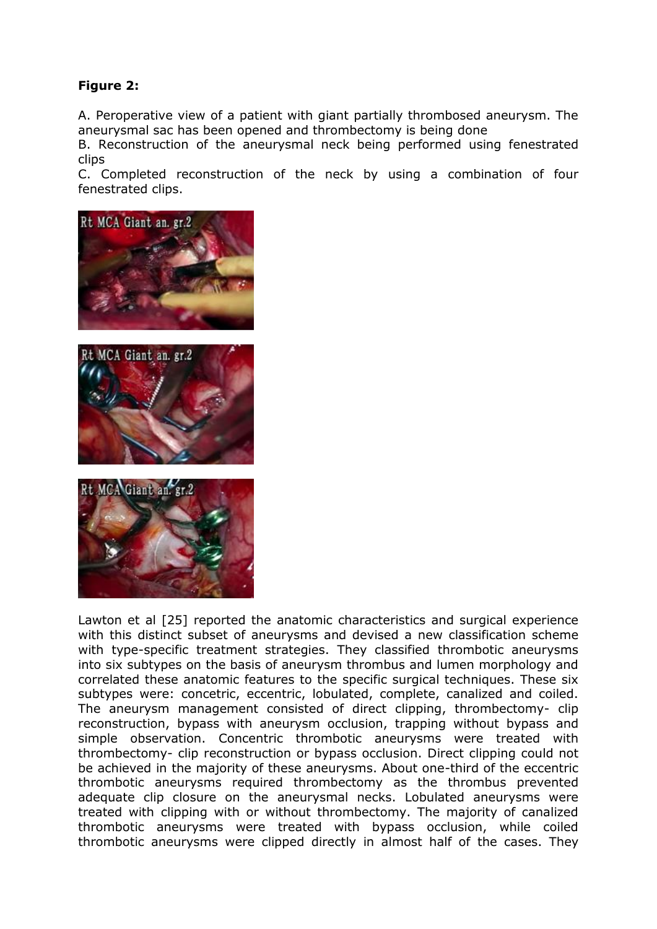# **Figure 2:**

A. Peroperative view of a patient with giant partially thrombosed aneurysm. The aneurysmal sac has been opened and thrombectomy is being done

B. Reconstruction of the aneurysmal neck being performed using fenestrated clips

C. Completed reconstruction of the neck by using a combination of four fenestrated clips.







Lawton et al [25] reported the anatomic characteristics and surgical experience with this distinct subset of aneurysms and devised a new classification scheme with type-specific treatment strategies. They classified thrombotic aneurysms into six subtypes on the basis of aneurysm thrombus and lumen morphology and correlated these anatomic features to the specific surgical techniques. These six subtypes were: concetric, eccentric, lobulated, complete, canalized and coiled. The aneurysm management consisted of direct clipping, thrombectomy- clip reconstruction, bypass with aneurysm occlusion, trapping without bypass and simple observation. Concentric thrombotic aneurysms were treated with thrombectomy- clip reconstruction or bypass occlusion. Direct clipping could not be achieved in the majority of these aneurysms. About one-third of the eccentric thrombotic aneurysms required thrombectomy as the thrombus prevented adequate clip closure on the aneurysmal necks. Lobulated aneurysms were treated with clipping with or without thrombectomy. The majority of canalized thrombotic aneurysms were treated with bypass occlusion, while coiled thrombotic aneurysms were clipped directly in almost half of the cases. They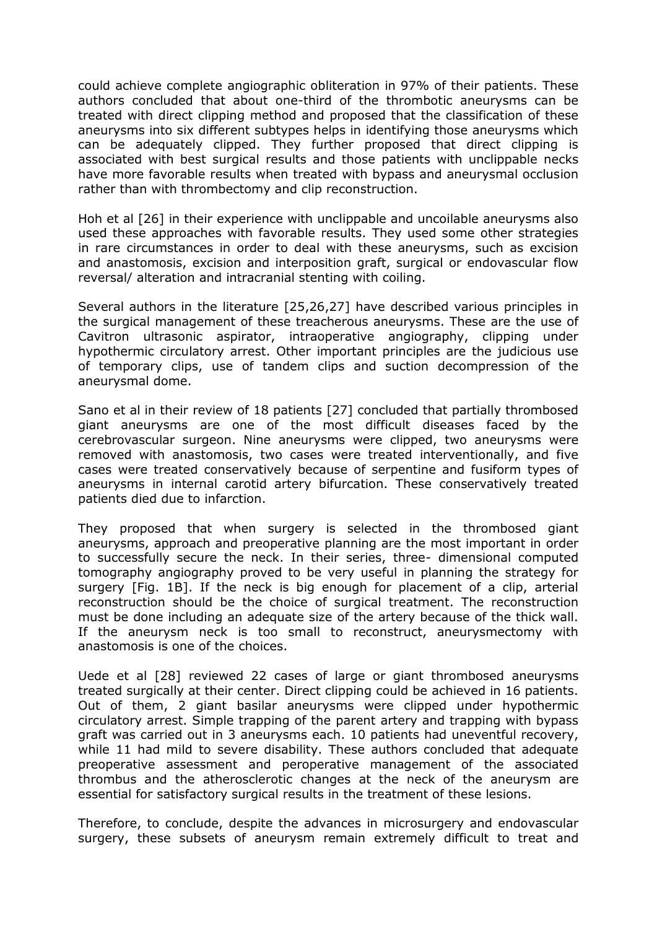could achieve complete angiographic obliteration in 97% of their patients. These authors concluded that about one-third of the thrombotic aneurysms can be treated with direct clipping method and proposed that the classification of these aneurysms into six different subtypes helps in identifying those aneurysms which can be adequately clipped. They further proposed that direct clipping is associated with best surgical results and those patients with unclippable necks have more favorable results when treated with bypass and aneurysmal occlusion rather than with thrombectomy and clip reconstruction.

Hoh et al [26] in their experience with unclippable and uncoilable aneurysms also used these approaches with favorable results. They used some other strategies in rare circumstances in order to deal with these aneurysms, such as excision and anastomosis, excision and interposition graft, surgical or endovascular flow reversal/ alteration and intracranial stenting with coiling.

Several authors in the literature [25,26,27] have described various principles in the surgical management of these treacherous aneurysms. These are the use of Cavitron ultrasonic aspirator, intraoperative angiography, clipping under hypothermic circulatory arrest. Other important principles are the judicious use of temporary clips, use of tandem clips and suction decompression of the aneurysmal dome.

Sano et al in their review of 18 patients [27] concluded that partially thrombosed giant aneurysms are one of the most difficult diseases faced by the cerebrovascular surgeon. Nine aneurysms were clipped, two aneurysms were removed with anastomosis, two cases were treated interventionally, and five cases were treated conservatively because of serpentine and fusiform types of aneurysms in internal carotid artery bifurcation. These conservatively treated patients died due to infarction.

They proposed that when surgery is selected in the thrombosed giant aneurysms, approach and preoperative planning are the most important in order to successfully secure the neck. In their series, three- dimensional computed tomography angiography proved to be very useful in planning the strategy for surgery [Fig. 1B]. If the neck is big enough for placement of a clip, arterial reconstruction should be the choice of surgical treatment. The reconstruction must be done including an adequate size of the artery because of the thick wall. If the aneurysm neck is too small to reconstruct, aneurysmectomy with anastomosis is one of the choices.

Uede et al [28] reviewed 22 cases of large or giant thrombosed aneurysms treated surgically at their center. Direct clipping could be achieved in 16 patients. Out of them, 2 giant basilar aneurysms were clipped under hypothermic circulatory arrest. Simple trapping of the parent artery and trapping with bypass graft was carried out in 3 aneurysms each. 10 patients had uneventful recovery, while 11 had mild to severe disability. These authors concluded that adequate preoperative assessment and peroperative management of the associated thrombus and the atherosclerotic changes at the neck of the aneurysm are essential for satisfactory surgical results in the treatment of these lesions.

Therefore, to conclude, despite the advances in microsurgery and endovascular surgery, these subsets of aneurysm remain extremely difficult to treat and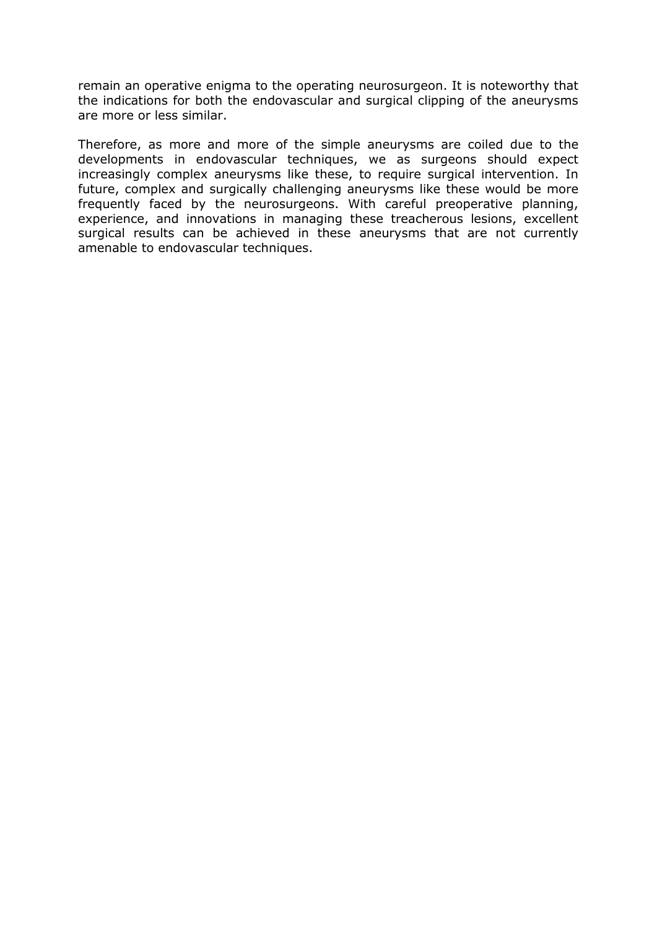remain an operative enigma to the operating neurosurgeon. It is noteworthy that the indications for both the endovascular and surgical clipping of the aneurysms are more or less similar.

Therefore, as more and more of the simple aneurysms are coiled due to the developments in endovascular techniques, we as surgeons should expect increasingly complex aneurysms like these, to require surgical intervention. In future, complex and surgically challenging aneurysms like these would be more frequently faced by the neurosurgeons. With careful preoperative planning, experience, and innovations in managing these treacherous lesions, excellent surgical results can be achieved in these aneurysms that are not currently amenable to endovascular techniques.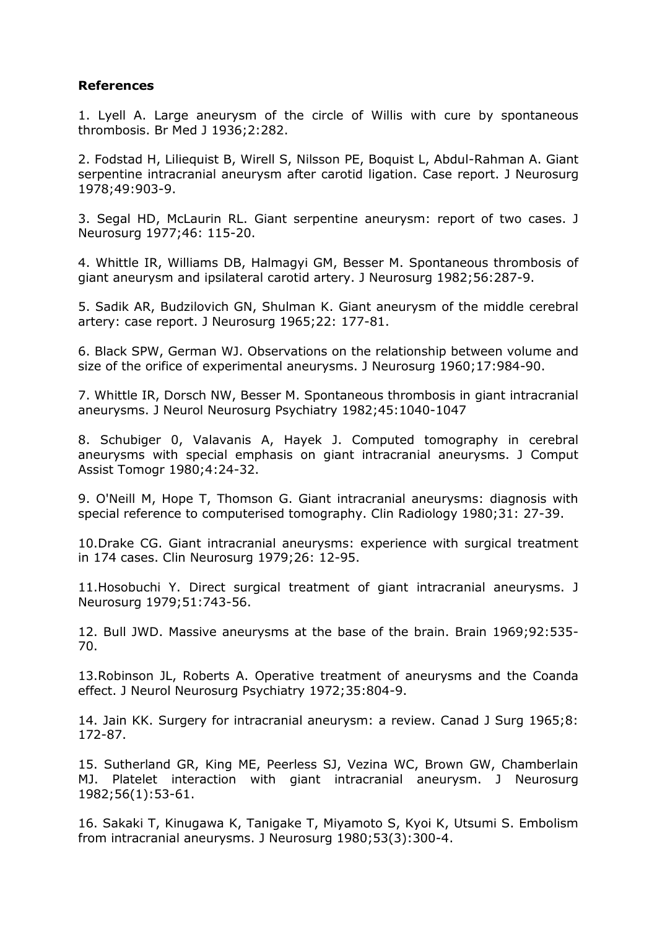#### **References**

1. Lyell A. Large aneurysm of the circle of Willis with cure by spontaneous thrombosis. Br Med J 1936;2:282.

2. Fodstad H, Liliequist B, Wirell S, Nilsson PE, Boquist L, Abdul-Rahman A. Giant serpentine intracranial aneurysm after carotid ligation. Case report. J Neurosurg 1978;49:903-9.

3. Segal HD, McLaurin RL. Giant serpentine aneurysm: report of two cases. J Neurosurg 1977;46: 115-20.

4. Whittle IR, Williams DB, Halmagyi GM, Besser M. Spontaneous thrombosis of giant aneurysm and ipsilateral carotid artery. J Neurosurg 1982;56:287-9.

5. Sadik AR, Budzilovich GN, Shulman K. Giant aneurysm of the middle cerebral artery: case report. J Neurosurg 1965;22: 177-81.

6. Black SPW, German WJ. Observations on the relationship between volume and size of the orifice of experimental aneurysms. J Neurosurg 1960;17:984-90.

7. Whittle IR, Dorsch NW, Besser M. Spontaneous thrombosis in giant intracranial aneurysms. J Neurol Neurosurg Psychiatry 1982;45:1040-1047

8. Schubiger 0, Valavanis A, Hayek J. Computed tomography in cerebral aneurysms with special emphasis on giant intracranial aneurysms. J Comput Assist Tomogr 1980;4:24-32.

9. O'Neill M, Hope T, Thomson G. Giant intracranial aneurysms: diagnosis with special reference to computerised tomography. Clin Radiology 1980;31: 27-39.

10.Drake CG. Giant intracranial aneurysms: experience with surgical treatment in 174 cases. Clin Neurosurg 1979;26: 12-95.

11.Hosobuchi Y. Direct surgical treatment of giant intracranial aneurysms. J Neurosurg 1979;51:743-56.

12. Bull JWD. Massive aneurysms at the base of the brain. Brain 1969;92:535- 70.

13.Robinson JL, Roberts A. Operative treatment of aneurysms and the Coanda effect. J Neurol Neurosurg Psychiatry 1972;35:804-9.

14. Jain KK. Surgery for intracranial aneurysm: a review. Canad J Surg 1965;8: 172-87.

15. Sutherland GR, King ME, Peerless SJ, Vezina WC, Brown GW, Chamberlain MJ. Platelet interaction with giant intracranial aneurysm. J Neurosurg 1982;56(1):53-61.

16. Sakaki T, Kinugawa K, Tanigake T, Miyamoto S, Kyoi K, Utsumi S. Embolism from intracranial aneurysms. J Neurosurg 1980;53(3):300-4.